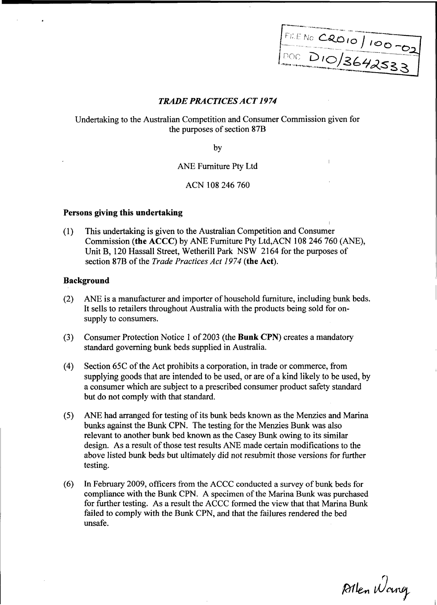$-$ 1000 D10/3642533

# TRADE PRACTICES ACT 1974

. Ta contract to international contract the contract of the contract of the contract of the contract of the co<br>In the contract of the contract of the contract of the contract of the contract of the contract of the contract

Undertaking to the Australian Competition and Consumer Commission given for the purposes of section 87B

by

ANE Furniture Pty Ltd

# ACN 108 246 760

#### Persons giving this undertaking

(1) This undertaking is given to the Australian Competition and Consumer Commission (the ACCC) by ANE Furniture Pty Ltd,ACN 108 246 760 (ANE), Unit B, 120 Hassall Street, Wetherill Park NSW 2164 for the purposes of section 87B of the *Trade Practices Act 1974* (the Act).

# Background

- (2) ANE is a manufacturer and importer of household furniture, including bunk beds. It sells to retailers throughout Australia with the products being sold for onsupply to consumers.
- (3) Consumer Protection Notice 1 of 2003 (the Bunk CPN) creates a mandatory standard goveming bunk beds supplied in Australia.
- (4) Section 65C of the Act prohibits a corporation, in trade or commerce, from supplying goods that are intended to be used, or are of a kind likely to be used, by a consumer which are subject to a prescribed consumer product safety standard but do not comply with that standard.
- (5) ANE had arranged for testing of its bunk beds known as the Menzies and Marina bunks against the Bunk CPN. The testing for the Menzies Bunk was also relevant to another bunk bed known as the Casey Bunk owing to its similar design. As a result of those test results ANE made certain modifications to the above listed bunk beds but ultimately did not resubmit those versions for further testing.
- (6) In Febnlary 2009, officers from the ACCC conducted a survey of bunk beds for compliance with the Bunk CPN. A specimen of the Marina Bunk was purchased for further testing. As a result the ACCC formed the view that that Marina Bunk failed to comply with the Bunk CPN, and that the failures rendered the bed unsafe.

Allen Wang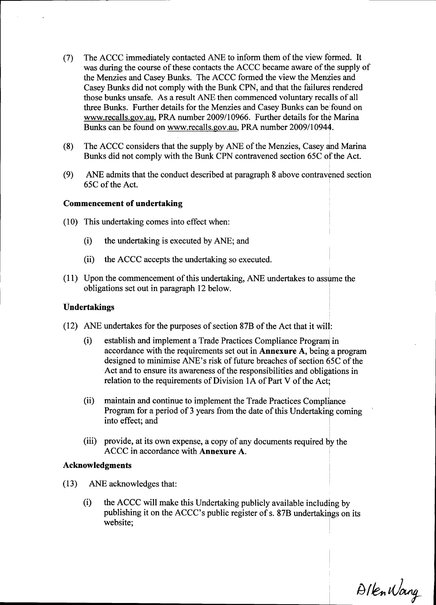- (7) The ACCC immediately contacted ANE to inform them of the view formed. It was during the course of these contacts the ACCC became aware of the supply of the Menzies and Casey Bunks. The ACCC formed the view the Menzies and Casey Bunks did not comply with the Bunk CPN, and that the failures rendered those bunks unsafe. As a result ANE then commenced voluntary recalls of all three Bunks. Further details for the Menzies and Casey Bunks can be found on www.recalls.gov.au, PRA number 2009/10966. Further details for the Marina Bunks can be found on www.recalls.gov.au, PRA number 2009/10944.
- (8) The ACCC considers that the supply by ANE of the Menzies, Casey and Marina Bunks did not comply with the Bunk CPN contravened section 65C of the Act.
- (9) ANE admits that the conduct described at paragraph 8 above contravened section 65C of the Act.

# Commencement of undertaking

- (10) This undertaking comes into effect when:
	- (i) the undertaking is executed by ANE; and
	- (ii) the ACCC accepts the undertaking so executed.
- $(11)$  Upon the commencement of this undertaking, ANE undertakes to assume the obligations set out in paragraph 12 below.

#### Undertakings

- (12) ANE undertakes for the puzposes of section 87B of the Act that it will:
	- (i) establish and implement a Trade Practices Compliance Progranj in accordance with the requirements set out in **Annexure A**, being a program designed to minimise ANE's risk of future breaches of section 65C of the Act and to ensure its awareness of the responsibilities and obligations in relation to the requirements of Division IA of Part V of the Act;
	- (ii) maintain and continue to implement the Trade Practices Compliance Program for a period of 3 years from the date of this Undertaking coming into effect; and
	- (iii) provide, at its own expense, a copy of any documents required by the ACCC in accordance with **Annexure A.**

#### Acknowledgments

- (13) ANE acknowledges that:
	- (i) the ACCC will make this Undertaking publicly available including by publishing it on the ACCC's public register of s. 87B undertakings on its website;

Allen Wang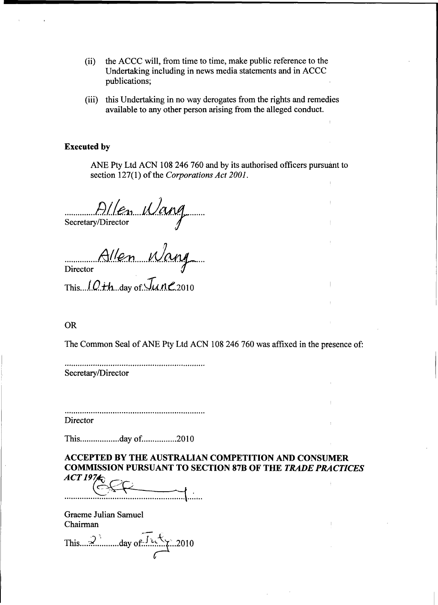- $(ii)$ the ACCC will, from time to time, make public reference to the Undertaking including in news media statements and in ACCC publications;
- (iii) this Undertaking in no way derogates from the rights and remedies available to any other person arising from the alleged conduct.

# **Executed by**

ANE Pty Ltd ACN 108 246 760 and by its authorised officers pursuant to section 127(1) of the Corporations Act 2001.

D/len Wang

Allen Wang

#### **OR**

The Common Seal of ANE Pty Ltd ACN 108 246 760 was affixed in the presence of:

Secretary/Director

Director

This...................day of................2010

# **ACCEPTED BY THE AUSTRALIAN COMPETITION AND CONSUMER COMMISSION PURSUANT TO SECTION 87B OF THE TRADE PRACTICES**  $ACT$  197 $\star$

Graeme Julian Samuel Chairman

This 2 day of  $J\uparrow\downarrow\uparrow$  2010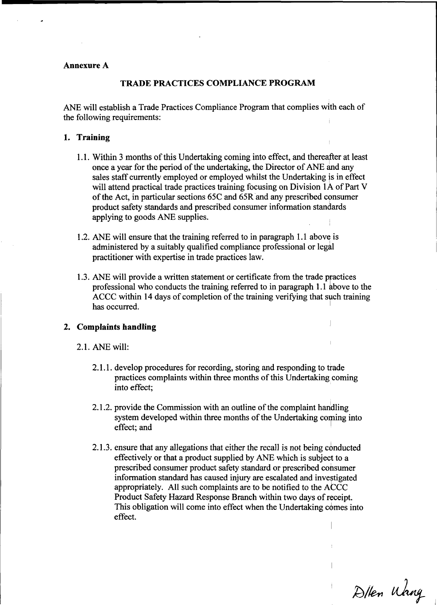#### Annexure A

#### TRADE PRACTICES COMPLIANCE PROGRAM

ANE will establish a Trade Practices Compliance Program that complies with each of the following requirements:

# 1. Training

- 1.1. Within 3 months of this Undertaking coming into effect, and thereafter at least once a year for the period of the undertaking, the Director of ANE and any sales staff currently employed or employed whilst the Undertaking is in effect will attend practical trade practices training focusing on Division 1A of Part V of the Act, ln particular sections 65C and 65R'and any prescribed consumer product safety standards and prescribed consumer information standards applying to goods ANE supplies.
- 1.2. ANE will ensure that the training referred to in paragraph 1.1 above is administered by a suitably qualified compliance professional or legal practitioner with expertise in trade practices law.
- 1.3. ANE will provide a written statement or certificate from the trade practices professional who conducts the training referred to in paragraph 1.1 above to the ACCC within 14 days of completion of the training verifying that such training has occurred.

#### 2. Complaints handling

- 2.1. ANE will:
	- 2.1.1. develop procedures for recording, storing and responding to trade practices complaints within three months of this Undertaking coming into effect;
	- 2.1.2. provide the Commission with an outline of the complaint handling system developed within three months of the Undertaking coming into effect; and
	- 2.1.3. ensure that any allegations that either the recall is not being conducted effectively or that a product supplied by ANE which is sublect to a prescribed consumer product safety standard or prescribed consumer information standard has caused injury are escalated and investigated appropriately. All such complaints are to be notified to the ACCC Product Safety Hazard Response Branch within two days of receipt. This obligation will come into effect when the Undertaking comes into effect.

D/len Wang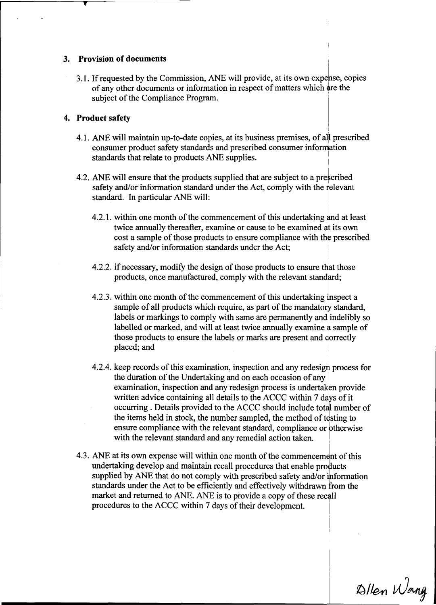# 3. Provision of documents

3.1. If requested by the Commission, ANE will provide, at its own expense, copies of any other documents or information in respect of matters which are the subject of the Compliance Program.

# 4. Product safety

- 4.1. ANE will maintain up-to-date copies, at its business premises, of all prescribed consumer product safety standards and prescribed consumer information standards that relate to products ANE supplies.
- 4.2. ANE will ensure that the products supplied that are subject to a prescribed safety and/or information standard under the Act, comply with the relevant standard. In particular ANE will:
	- 4.2.1. within one month of the commencement of this undertaking and at least twice annually thereafter, examine or cause to be examined at its own cost a sample of those products to ensure compliance with the prescribed safety and/or information standards under the Act;
	- 4.2.2. if necessary, modify the design of those products to ensure that those products, once manufactured, comply with the relevant standard;
	- 4.2.3. within one month of the commencement of this undertaking inspect a sample of all products which require, as part of the mandatory standard, labels or markings to comply with same are permanently and indelibly so labelled or marked, and will at least twice annually examine a sample of those products to ensure the labels or marks are present and correctly placed; and
	- 4.2.4. keep records of this examination, inspection and any redesign process for the duration of the Undertaking and on each occasion of any examination, inspection and any redesign process is undertaken provide written advice containing all details to the ACCC within 7 days of it occurring. Details provided to the ACCC should include total number of the items held in stock, the number sampled, the method of testing to ensure compliance with the relevant standard, compliance or otherwise with the relevant standard and any remedial action taken.
- 4.3. ANE at its own expense will within one month of the commencement of this undertaking develop and maintain recall procedures that enable products supplied by ANE that do not comply with prescribed safety and/or information standards under the Act to be efficiently and effectively withdrawn from the market and returned to ANE. ANE is to provide a copy of these recall procedures to the ACCC within 7 days of their development.

Allen Wang